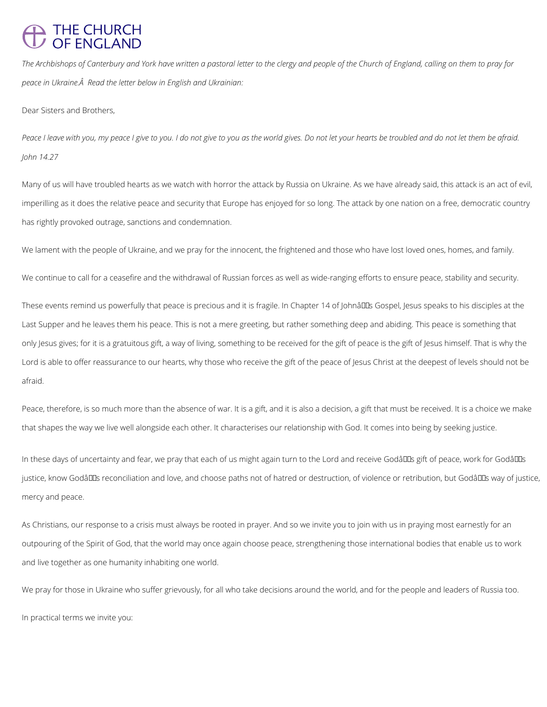## THE CHURCH<br>OF ENGLAND

*The Archbishops of Canterbury and York have written a pastoral letter to the clergy and people of the Church of England, calling on them to pray for peace in Ukraine. Read the letter below in English and Ukrainian:*

Dear Sisters and Brothers,

*Peace I leave with you, my peace I give to you. I do not give to you as the world gives. Do not let your hearts be troubled and do not let them be afraid. John 14.27*

Many of us will have troubled hearts as we watch with horror the attack by Russia on Ukraine. As we have already said, this attack is an act of evil, imperilling as it does the relative peace and security that Europe has enjoyed for so long. The attack by one nation on a free, democratic country has rightly provoked outrage, sanctions and condemnation.

These events remind us powerfully that peace is precious and it is fragile. In Chapter 14 of Johnâll Gospel, Jesus speaks to his disciples at the Last Supper and he leaves them his peace. This is not a mere greeting, but rather something deep and abiding. This peace is something that only Jesus gives; for it is a gratuitous gift, a way of living, something to be received for the gift of peace is the gift of Jesus himself. That is why the Lord is able to offer reassurance to our hearts, why those who receive the gift of the peace of Jesus Christ at the deepest of levels should not be afraid.

We lament with the people of Ukraine, and we pray for the innocent, the frightened and those who have lost loved ones, homes, and family.

We continue to call for a ceasefire and the withdrawal of Russian forces as well as wide-ranging efforts to ensure peace, stability and security.

In these days of uncertainty and fear, we pray that each of us might again turn to the Lord and receive Godâlls gift of peace, work for Godâlls justice, know Godâlls reconciliation and love, and choose paths not of hatred or destruction, of violence or retribution, but Godâlls way of justice, mercy and peace.

Peace, therefore, is so much more than the absence of war. It is a gift, and it is also a decision, a gift that must be received. It is a choice we make that shapes the way we live well alongside each other. It characterises our relationship with God. It comes into being by seeking justice.

As Christians, our response to a crisis must always be rooted in prayer. And so we invite you to join with us in praying most earnestly for an

outpouring of the Spirit of God, that the world may once again choose peace, strengthening those international bodies that enable us to work

and live together as one humanity inhabiting one world.

We pray for those in Ukraine who suffer grievously, for all who take decisions around the world, and for the people and leaders of Russia too.

In practical terms we invite you: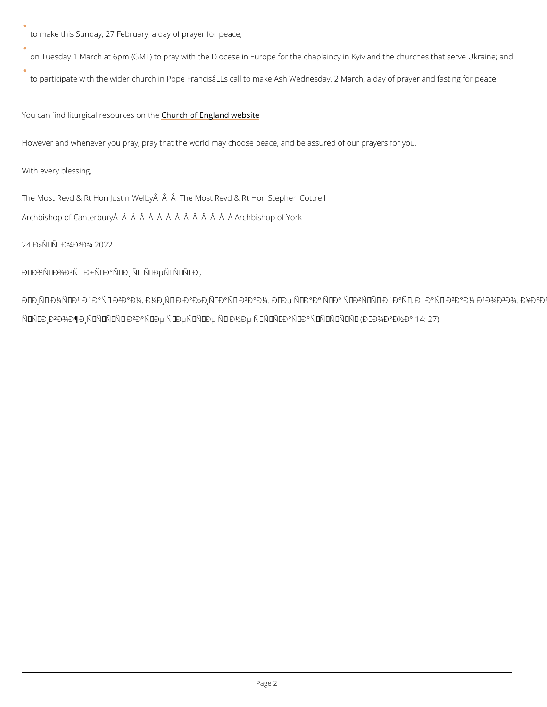to make this Sunday, 27 February, a day of prayer for peace;

on Tuesday 1 March at 6pm (GMT) to pray with the Diocese in Europe for the chaplaincy in to participate with the wider church in Pope Francisâ $\boldsymbol{\epsilon}^{\intercal\text{M}}$ s call to make Ash Wednesday, 2 M

You can find liturgical re**Gburch soft fangeand** website

However and whenever you pray, pray that the world may choose peace, and be assured of our

With every blessing,

The Most Revd & Rt Hon Justin Welby  $\hat{A}$   $\hat{A}$  The Most Revd & Rt Hon Stephen Cottrell Archbishop of Canterbury Â Â Â Â Â Â Â Â Â Â Â Â Â Archbishop of York

24  $D \times \tilde{N} \times \tilde{N}$ ,  $D \times 2 \times 2 \times 2$ 

 $D'' D \mathcal{H} \tilde{N} \in D \mathcal{H} D^3 \tilde{N} - D \pm \tilde{N} \in D^{\circ} \tilde{N}, D, \tilde{N} - \tilde{N} \cdot D \mu \tilde{N} \cdot \tilde{N}, \tilde{N} \in D,$ 

 $\mathbf{D} \times \mathbf{D} \times \mathbf{N}$   $\mathbf{D} \times \mathbf{N}$  +  $\mathbf{D} \times \mathbf{D} \times \mathbf{D} \times \mathbf{N}$   $\mathbf{D} \times \mathbf{D} \times \mathbf{N}$   $\mathbf{D} \times \mathbf{D} \times \mathbf{D} \times \mathbf{N}$  +  $\mathbf{D} \times \mathbf{D} \times \mathbf{N}$  +  $\mathbf{D} \times \mathbf{N}$  +  $\mathbf{D} \times \mathbf{N}$  +  $\mathbf{D} \times \mathbf{N}$  + Ñ,рикожиÑ,ьѕÑ• ĐºÐ°Ñ^е Ñ•ĐµÑ€Ñ†Ðµ Ñ- Đ½Đµ Ñ•Ñ,Ñ€Đ°Ñ...аÑ"Ñ,ьѕÑ• (Й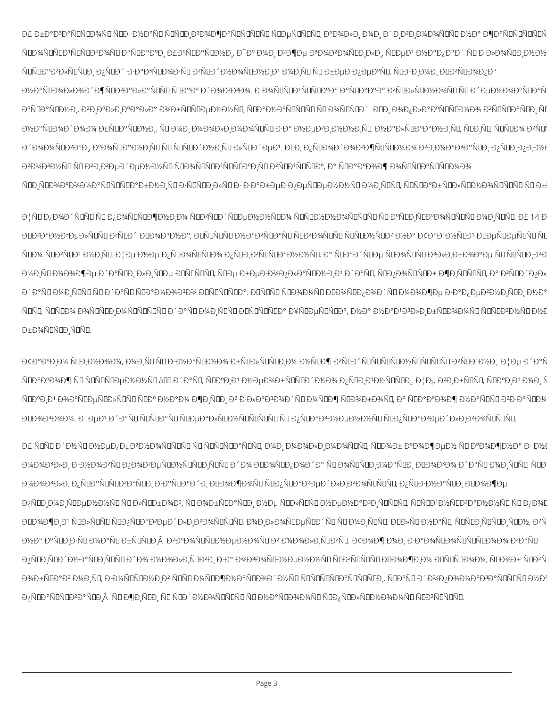Đ£ баĐ<sup>3</sup>аÑDÑDĐ¾ÑD ÑDĐ· Đ½Đ°ÑD ÑDÑDиĐ<sup>2</sup>Đ¾Đ¶Đ°ÑDÑDÑDÑD ÑDеÑDÑDÑD, аĐ¾Đ»Đ¸ Đ¼Đ, диĐ<sup>2</sup>иĐ¼Đ¾ÑDÑD Đ½Đ° жаÑDÑDÑDÑ ÑDÑDP°Ð?лÑDÑDÐ, пÑDдзаÐ3ÑDозÑD Ð?ÑDдноÑDнÐ,Ð1 мÐ,ÑD ÑD безпеаÑD, ÑDаÐ,мÐ, ÐDÐ?ÑDопа Đ½Đ°ÑŒĐ¾Đ»Đ¾Đ´Đ¶ÑŒP2алаьь ÑŒĐ°Đ° Đ´Đ¾Đ2Đ3Đ¾. Đ Đ¾ÑŒÑŒĐ1ььаа аÑŒD°Đ°Đ° Đ2ÑŒĐ»ÑŒĐ½Đ¾ÑŒ ÑŒ деĐ¼Đ¾Đ°ÑŒD°Ñ аÑŒĐ°ÑŒĐ½Đ, Đ2РалРала Đ¾Đ±ÑŒÑŒĐµĐ½Đ½ÑĽ, ÑŒĐ°Đ½Đ°ÑŒÑŒÑĽ ŇĽ Đ¾ÑŒÑŒĐ ´. ĐŒĐ, Đ¾Đ¿Đ»Đ°ĎÑŒÑÆĐ¼Đ¾ Đ2ььаÑŒD, ÑI Đ½Đ°ÑŒĐ¾Đ´Đ¾Đ¼ Đ£ÑŒP°ÑŒD½Đ,, ÑD Đ¼Đ, Đ¼Đ¾Đ»Đ,Đ¼Đ¾ÑDÑD за Đ½ĐµĐ2Đ,Đ½Đ½Đ,ÑD, Đ½Đ°Đ»ÑŒD°Đ½Đ,ÑD, ÑŒD,ÑD, ÑDÑŒD¾ Đ2ÑD Đ ^Đ¾Đ¼ÑロĐ2аĐ, аĐ¾ÑロаĐ½Đ ÑO ÑO ÑOÑOĐ ^Đ½Đ ÑO Đ»ÑOĐ ^еĐ1. ĐOĐ, Đ¿ÑOĐ¾Đ ^Đ¾Đ2жÑOÑOĐ¼Đ¾ Đ2Đ Đ¼Đ°Đ3аÑOĐ, Đ¿ÑOĐ Đ¿Đ Đ½Đ Đ<sup>2</sup>Đ¾Đ<sup>3</sup>Đ½ÑD ÑD Đ<sup>2</sup>Đ Đ<sup>2</sup>еĐ ´ĐµĐ½Đ½ÑD ÑDĐ¾ÑDÑDĐ1ÑDÑDаĐ ÑD Đ<sup>2</sup>ÑDĐ1ÑDÑDа, а ÑDааĐ¾Đ¶ Đ¾ÑDÑDаÑDÑDĐ¼Đ¾ ÑŒŊŇŒð¥Ð°Ð¾Ð¼Ð°ÑŒÑŒŇŒĎ°Ð±Ð½ÐŇŒÐ∙ььÐ}лÑŒÐ∙Ð∙кбеÐ∙пеьенньإÐ,ьь,ььабьльноььÑŒ ьб

ЦÑOĐ¿Đ¾Đ´ÑOÑO ÑO Đ¿Đ¾ÑOÑOжĐ½Đ¸Đ¼ ÑOĐ≧ÑOĐ´ÑOеĐ½Đ½ÑOĐ¼ ÑOÑOĐ½Đ½Đ¾ÑOÑOÑO ÑO аÑOиÑOаĐ¾ÑOÑOÑO Đ¼Đ¸ÑOÑO. Đ£ 14 Đ ĐIĐ2аĐ½Đ3еĐ»ÑIÑI Đ2ÑIĐ´ ĐIĐ34аĐ½Đ°, ĐIÑIÑIÑI Đ½Đ°Đ2ÑIаÑI ÑIĐ2Đ34ÑIÑI ÑIÑIĐ½ÑIĐ2 Đ½Đ° Đ¢Đ°Đ1Đ½ÑIĐ1 ĐIеÑIеÑIÑI ÑI ь޼ьުьުмÐÑŒ ЦенепьоÑŒĎ¾Ð¿ÑŒÐкÑŒĎºĐ½Ð½ÑŒ,аьадьеьоьь ЪлибоаеььÐ,кÐ Đ¼Đ ÑD Đ¼Đ¾Đ¶Đµ даÑDРлРÑDе ĐDÑDÑDÑD, ÑDе беĐ·Đ¾Đ¿Đ»Đ°ÑDĐ½Đ Đ'аÑD, ÑDĐ¿Đ¾ÑDÑDб жĐ ÑDÑDÑD, а Đ≧ÑDĐ´Đ¿Đ» Đ ´Đ°ÑO Đ¼Đ ÑOÑO ÑO Đ ´Đ°ÑO ÑOаĐ¼Đ¾Đ¾ ĐOÑOÑOĎOа. ĐOÑOÑO ÑOĐ¾Đ¼ÑO ĐOĐ¾ÑOĐ;Đ¾Đ ´ÑO Đ¼Đ¾Đ¶Đµ заĐ;еĐ2Đ½Đ ÑOĐ Đ½Đ° ÑOÑO, ÑOÑOĐ¾ Đ¾ÑOÑOĐ Đ¼ÑOÑOÑOÑO даÑO Đ¼Đ ÑOÑO ĐOÑOÑOÑOа Đ¥ÑOеÑOÑOа, Đ½Đ°Đ½Đ°Đ½Đ3лРбÑOĐ¾Đ¼ÑO ÑOÑOĐ2Đ½ÑO Đ½E бĐ¾ÑDÑDĐ,ÑDÑD.

Đ¢Đ°Đ°Đ¸Đ¼ ÑDиĐ½Đ¾Đ¼, Đ¼Đ¸ÑD ÑD Đ∙Đ½Đ°ÑDĐ½Đ¾ бÑDĐ»ÑDÑDиĐ¼ Đ½ÑDж Đ≧ÑDĐ´ÑDÑDÑDÑDD½ÑDÑDÑDÑD Đ≧ÑDĐ1Đ½Đ¸. Це даÑ ÑŒP°Đ¾Đ¶ÑŪььеĐ½Đ½ÑD âŒD Ď ^аÑQ, ÑŒP°Đ Đ1 Đ½ĐµĐ¾Đ±ÑŒÑŒP ^Đ½Đ¾ Đ¿ÑŒD Đ1Đ½ÑŒÑŒP . Це Đ2РбÑŒÑD, ÑŒP°Đ Đ1 Đ¼Đ N ÑŒP°Đ Đ' Đ¾Đ°ÑŒDµÑŒD»ÑŒÑD ÑŒP° Đ½Đ°Đ¼ жĐ ÑŒD Đ2 злаĐ3Đ¾Đ ´ÑD Đ¼ÑŒD¶ ÑŒD¾Đ±Đ¾ÑD, а ÑŒD°Đ°Đ¾Đ¶ Đ½Đ°ÑŒÑD Đ2заÑŒD¼ ĐロĐ¾Đ¾Đ¼. ЦеĐ1 даÑO ÑOÑDаÑO ÑOеаĐ»ÑOĐ½ÑOÑOÑOÑO ÑO Đ¿ÑOаĐ½ĐµĐ½Đ½ÑO ÑOĐ¿ÑOаĐ2едлРĐ?Đ¾ÑOÑOÑO.

УÑDÑDднÑDнепеÐ<del>?</del>ноÑDÑDÑDÑDÑDÑDP°ÑDÑD, мÐ, молÐ,моÑDÑD, ÑDобаожен ÑDаожна з н Đ¼Đ¾ĐВ»Đ, Đ·Đ½Đ¾ĐºÑDĐ¿Đ¾ĐºĐµÑŒD½ÑŒÑŒD,ÑEÑDĐ´Đ¾ ĐŒĐ¾ÑŒD¿Đ¾Đ´Đ° ÑD Đ¾ÑEÑŒD,Đ¼Đ°ÑŒD, ĐŒĐ¾ĐВо даÑD Đ¼Đ,ÑEÑE, ÑŒ Đ¼Đ¾Đ3Đ»Đ, Đ¿ÑIаÑIÑIĐ2аÑIĐ, заÑIаĐ´Đ, ĐIĐ¾Đ¶Đ¾ÑI ÑIĐ¿ÑIаĐ2еĐ´Đ»Đ,Đ2Đ¾ÑIÑIÑI, Đ¿ÑIĐ·Đ½Đ°ÑIĐ, ĐIĐ¾Đ¶Đµ Đ¿ÑDĐ Đ¼Đ ÑDеĐ½Đ½ÑD ÑD Đ»ÑDбĐ¾Đ2, ÑD Đ¾Đ±ÑDаÑDĐ Đ½Đµ ÑDĐ»ÑDÑD Đ½ĐµĐ½Đ°Đ2Đ ÑDÑDÑD, ÑDÑDĐ1Đ½ÑDĐ2аĐ½Đ½ÑD ÑD Đ¿Đ¾E ĐロĐ¾Đ¶Đ,Đ1 ÑロĐ»ÑロÑロ ÑロĐ¿ÑロаĐ2еĐ´Đ»Đ,Đ2Đ¾ÑロÑロÑロ, Đ¼Đ,Đ»Đ¾ÑロеÑロĐ´Ñロ Ñロ Đ¼Đ,ÑロÑロ. ĐロĐ»Ñロ Đ½Đ°Ñロ, ÑロÑロĐ,ÑロÑロĐ,ÑロĐ½, Đ2Ñ

Đ½Đ° аÑIĐ Đ·ÑI Đ¼Đ°ÑI бÑIÑIĐ Â Đ2аĐ¾ÑIÑIĐ½ĐµĐ½Đ¾ÑI Đ2 Đ¼Đ¾Đ»Đ ÑIĐ2ÑI. Đ¢Đ¾Đ¶ Đ¼Đ, заĐ¾ÑIĐ¾ÑIÑIĎIAD¼Đ¾ Đ2аÑI

Đ¿ÑDĐ ÑDĐ ´Đ½Đ°ÑDĐ ÑDÑD Đ ´Đ¾ Đ¼Đ¾Đ»Đ ÑDĐ2Рза Đ¾Đ3Đ¾ÑDĐ½ĐµĐ½Đ½ÑD ÑDĐ2ÑDÑDÑD ĐDĐ¾Đ¶Đ Đ¼ ĐDÑDÑDĐ¾Đ¼, ÑDĐ¾Đ± ÑDĐ2Ñ

Đ¾Đ±ÑDаĐ2 Đ¼Đ ÑD, Đ·Đ¼ÑDÑDĐ½Đ Đ2 ÑDÑD Đ¼ÑDжĐ½Đ°ÑDĐ¾Đ´Đ½ÑD ÑDÑDÑDаÑDÑDÑDĐ, ÑDаÑD Đ´Đ¾Đ¿Đ¾Đ¼Đ°Đ3аÑDÑDÑD Đ½Đ

Đ¿ÑDаÑDÑDĐªĐ°ÑDĐ ÑD жĐ ÑDĐ ŇD ŇDĐ´Đ½Đ¾ÑDÑDÑD ÑD Đ½Đ°ÑDĐ¾Đ¼ÑD ÑDĐ¿ÑDĐ»ÑDĐ½Đ¾Đ¼ÑD ÑDĐªÑDÑD.